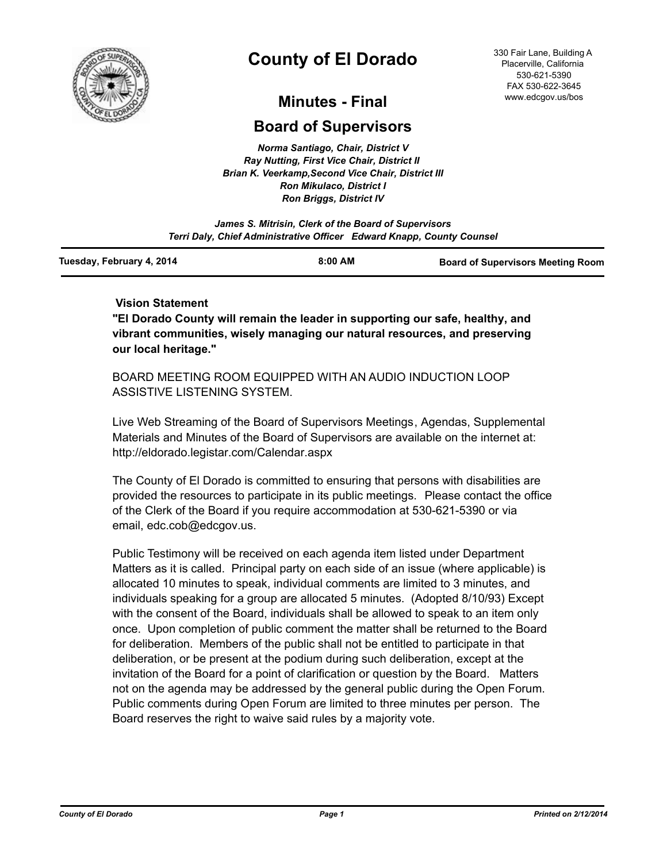

# **County of El Dorado**

330 Fair Lane, Building A Placerville, California 530-621-5390 FAX 530-622-3645 www.edcgov.us/bos

## **Minutes - Final**

## **Board of Supervisors**

*Norma Santiago, Chair, District V Ray Nutting, First Vice Chair, District II Brian K. Veerkamp,Second Vice Chair, District III Ron Mikulaco, District I Ron Briggs, District IV*

*James S. Mitrisin, Clerk of the Board of Supervisors Terri Daly, Chief Administrative Officer Edward Knapp, County Counsel*

| Tuesday, February 4, 2014 | 8:00 AM | <b>Board of Supervisors Meeting Room</b> |
|---------------------------|---------|------------------------------------------|
|                           |         |                                          |

## **Vision Statement**

**"El Dorado County will remain the leader in supporting our safe, healthy, and vibrant communities, wisely managing our natural resources, and preserving our local heritage."**

BOARD MEETING ROOM EQUIPPED WITH AN AUDIO INDUCTION LOOP ASSISTIVE LISTENING SYSTEM.

Live Web Streaming of the Board of Supervisors Meetings, Agendas, Supplemental Materials and Minutes of the Board of Supervisors are available on the internet at: http://eldorado.legistar.com/Calendar.aspx

The County of El Dorado is committed to ensuring that persons with disabilities are provided the resources to participate in its public meetings. Please contact the office of the Clerk of the Board if you require accommodation at 530-621-5390 or via email, edc.cob@edcgov.us.

Public Testimony will be received on each agenda item listed under Department Matters as it is called. Principal party on each side of an issue (where applicable) is allocated 10 minutes to speak, individual comments are limited to 3 minutes, and individuals speaking for a group are allocated 5 minutes. (Adopted 8/10/93) Except with the consent of the Board, individuals shall be allowed to speak to an item only once. Upon completion of public comment the matter shall be returned to the Board for deliberation. Members of the public shall not be entitled to participate in that deliberation, or be present at the podium during such deliberation, except at the invitation of the Board for a point of clarification or question by the Board. Matters not on the agenda may be addressed by the general public during the Open Forum. Public comments during Open Forum are limited to three minutes per person. The Board reserves the right to waive said rules by a majority vote.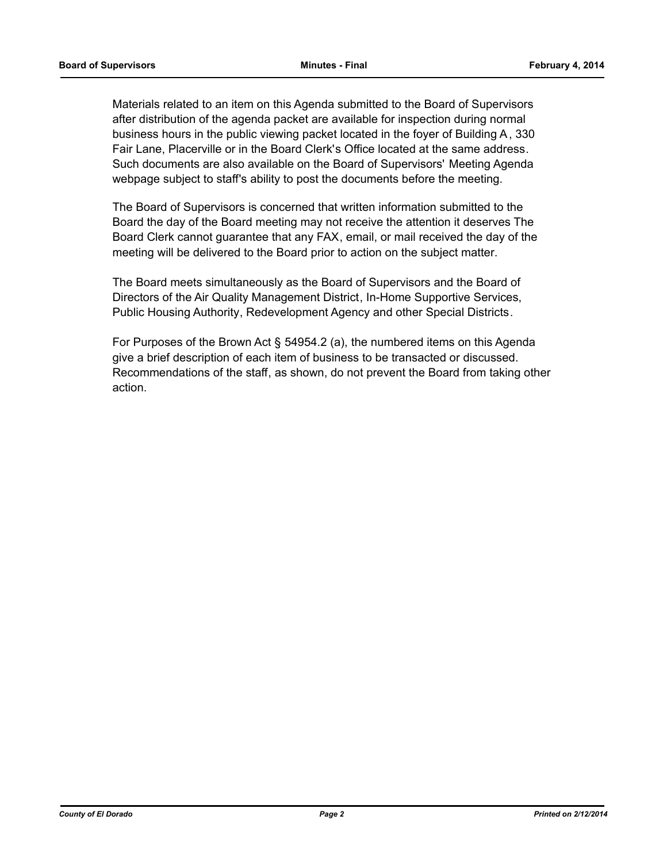Materials related to an item on this Agenda submitted to the Board of Supervisors after distribution of the agenda packet are available for inspection during normal business hours in the public viewing packet located in the foyer of Building A, 330 Fair Lane, Placerville or in the Board Clerk's Office located at the same address. Such documents are also available on the Board of Supervisors' Meeting Agenda webpage subject to staff's ability to post the documents before the meeting.

The Board of Supervisors is concerned that written information submitted to the Board the day of the Board meeting may not receive the attention it deserves The Board Clerk cannot guarantee that any FAX, email, or mail received the day of the meeting will be delivered to the Board prior to action on the subject matter.

The Board meets simultaneously as the Board of Supervisors and the Board of Directors of the Air Quality Management District, In-Home Supportive Services, Public Housing Authority, Redevelopment Agency and other Special Districts.

For Purposes of the Brown Act § 54954.2 (a), the numbered items on this Agenda give a brief description of each item of business to be transacted or discussed. Recommendations of the staff, as shown, do not prevent the Board from taking other action.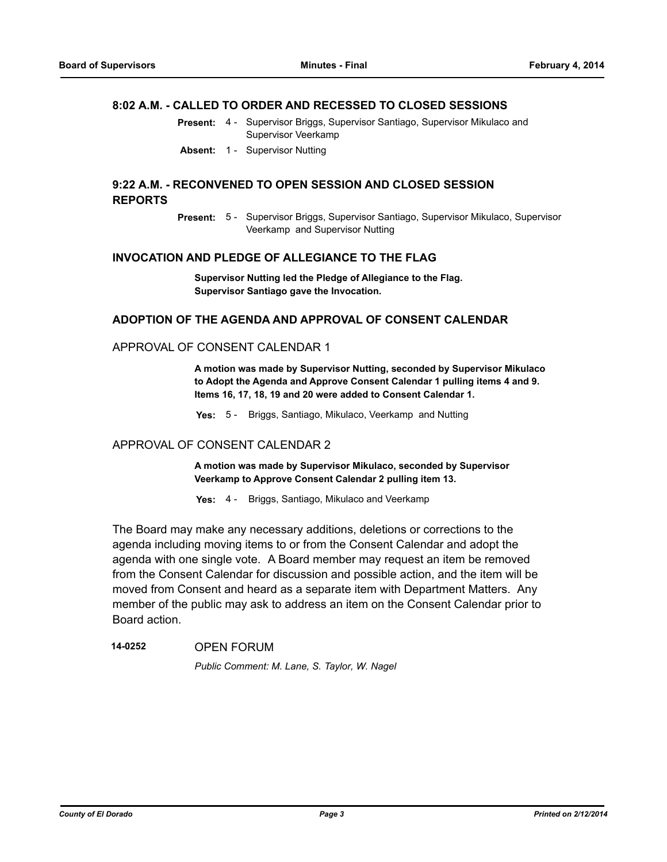#### **8:02 A.M. - CALLED TO ORDER AND RECESSED TO CLOSED SESSIONS**

- Present: 4 Supervisor Briggs, Supervisor Santiago, Supervisor Mikulaco and Supervisor Veerkamp
- **Absent:** 1 Supervisor Nutting

#### **9:22 A.M. - RECONVENED TO OPEN SESSION AND CLOSED SESSION REPORTS**

Present: 5 - Supervisor Briggs, Supervisor Santiago, Supervisor Mikulaco, Supervisor Veerkamp and Supervisor Nutting

#### **INVOCATION AND PLEDGE OF ALLEGIANCE TO THE FLAG**

**Supervisor Nutting led the Pledge of Allegiance to the Flag. Supervisor Santiago gave the Invocation.**

#### **ADOPTION OF THE AGENDA AND APPROVAL OF CONSENT CALENDAR**

#### APPROVAL OF CONSENT CALENDAR 1

**A motion was made by Supervisor Nutting, seconded by Supervisor Mikulaco to Adopt the Agenda and Approve Consent Calendar 1 pulling items 4 and 9. Items 16, 17, 18, 19 and 20 were added to Consent Calendar 1.**

**Yes:** 5 - Briggs, Santiago, Mikulaco, Veerkamp and Nutting

## APPROVAL OF CONSENT CALENDAR 2

**A motion was made by Supervisor Mikulaco, seconded by Supervisor Veerkamp to Approve Consent Calendar 2 pulling item 13.**

**Yes:** 4 - Briggs, Santiago, Mikulaco and Veerkamp

The Board may make any necessary additions, deletions or corrections to the agenda including moving items to or from the Consent Calendar and adopt the agenda with one single vote. A Board member may request an item be removed from the Consent Calendar for discussion and possible action, and the item will be moved from Consent and heard as a separate item with Department Matters. Any member of the public may ask to address an item on the Consent Calendar prior to Board action.

## **14-0252** OPEN FORUM *Public Comment: M. Lane, S. Taylor, W. Nagel*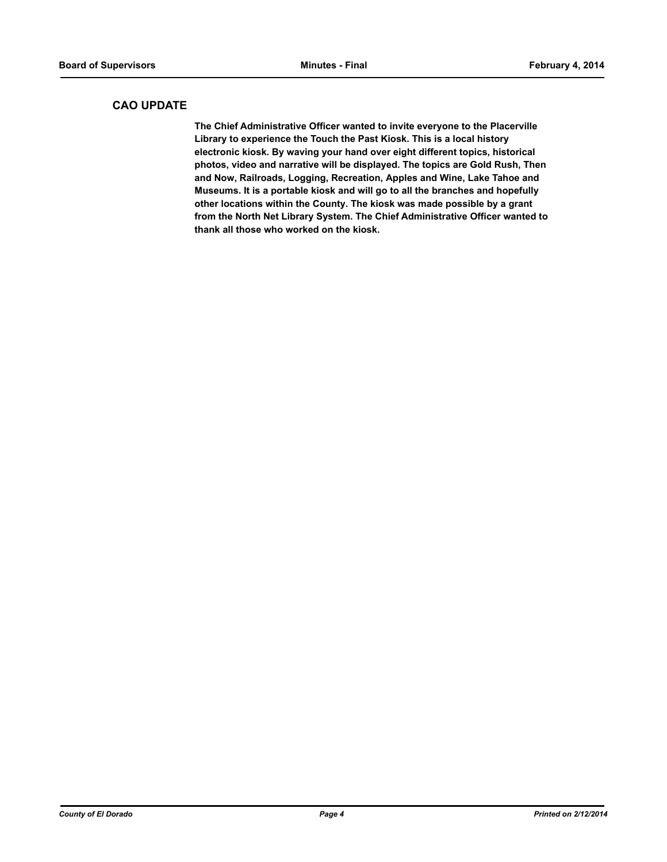### **CAO UPDATE**

**The Chief Administrative Officer wanted to invite everyone to the Placerville Library to experience the Touch the Past Kiosk. This is a local history electronic kiosk. By waving your hand over eight different topics, historical photos, video and narrative will be displayed. The topics are Gold Rush, Then and Now, Railroads, Logging, Recreation, Apples and Wine, Lake Tahoe and Museums. It is a portable kiosk and will go to all the branches and hopefully other locations within the County. The kiosk was made possible by a grant from the North Net Library System. The Chief Administrative Officer wanted to thank all those who worked on the kiosk.**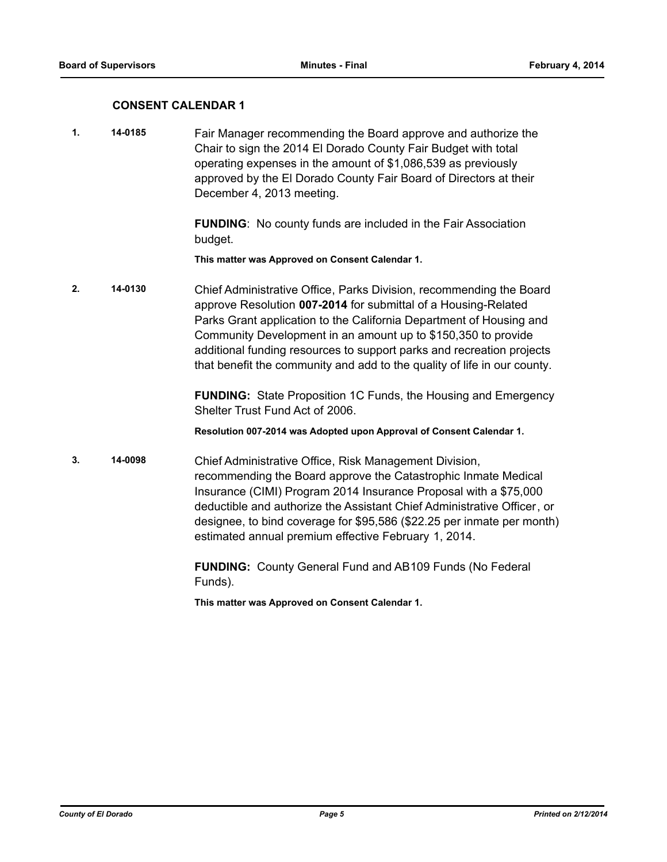#### **CONSENT CALENDAR 1**

**1. 14-0185** Fair Manager recommending the Board approve and authorize the Chair to sign the 2014 El Dorado County Fair Budget with total operating expenses in the amount of \$1,086,539 as previously approved by the El Dorado County Fair Board of Directors at their December 4, 2013 meeting.

> **FUNDING**: No county funds are included in the Fair Association budget.

**This matter was Approved on Consent Calendar 1.**

**2. 14-0130** Chief Administrative Office, Parks Division, recommending the Board approve Resolution **007-2014** for submittal of a Housing-Related Parks Grant application to the California Department of Housing and Community Development in an amount up to \$150,350 to provide additional funding resources to support parks and recreation projects that benefit the community and add to the quality of life in our county.

> **FUNDING:** State Proposition 1C Funds, the Housing and Emergency Shelter Trust Fund Act of 2006.

**Resolution 007-2014 was Adopted upon Approval of Consent Calendar 1.**

**3. 14-0098** Chief Administrative Office, Risk Management Division, recommending the Board approve the Catastrophic Inmate Medical Insurance (CIMI) Program 2014 Insurance Proposal with a \$75,000 deductible and authorize the Assistant Chief Administrative Officer, or designee, to bind coverage for \$95,586 (\$22.25 per inmate per month) estimated annual premium effective February 1, 2014.

> **FUNDING:** County General Fund and AB109 Funds (No Federal Funds).

**This matter was Approved on Consent Calendar 1.**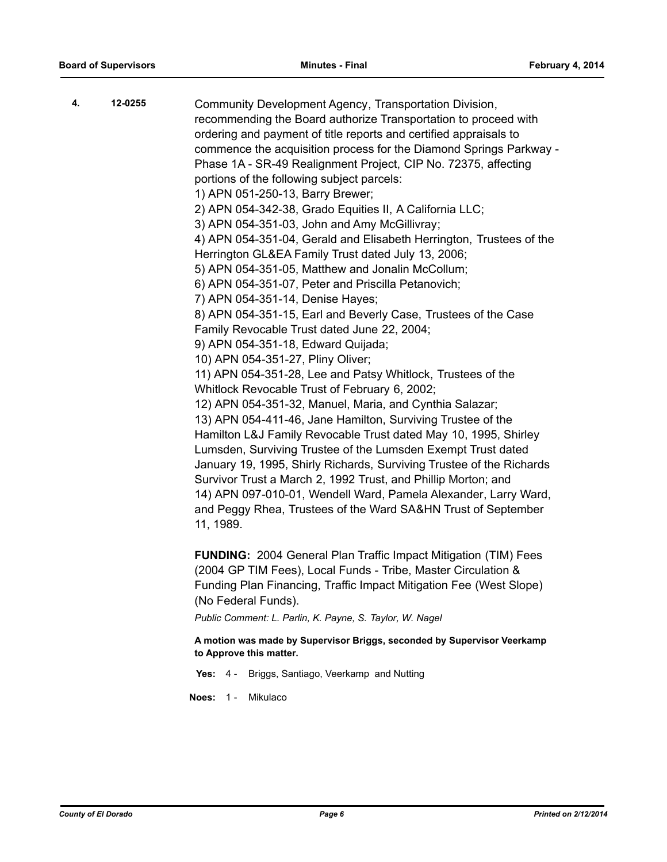| 4. | 12-0255 | Community Development Agency, Transportation Division,<br>recommending the Board authorize Transportation to proceed with<br>ordering and payment of title reports and certified appraisals to<br>commence the acquisition process for the Diamond Springs Parkway -<br>Phase 1A - SR-49 Realignment Project, CIP No. 72375, affecting<br>portions of the following subject parcels:<br>1) APN 051-250-13, Barry Brewer;<br>2) APN 054-342-38, Grado Equities II, A California LLC;<br>3) APN 054-351-03, John and Amy McGillivray;<br>4) APN 054-351-04, Gerald and Elisabeth Herrington, Trustees of the<br>Herrington GL&EA Family Trust dated July 13, 2006;<br>5) APN 054-351-05, Matthew and Jonalin McCollum;<br>6) APN 054-351-07, Peter and Priscilla Petanovich;<br>7) APN 054-351-14, Denise Hayes;<br>8) APN 054-351-15, Earl and Beverly Case, Trustees of the Case<br>Family Revocable Trust dated June 22, 2004;<br>9) APN 054-351-18, Edward Quijada;<br>10) APN 054-351-27, Pliny Oliver;<br>11) APN 054-351-28, Lee and Patsy Whitlock, Trustees of the<br>Whitlock Revocable Trust of February 6, 2002;<br>12) APN 054-351-32, Manuel, Maria, and Cynthia Salazar;<br>13) APN 054-411-46, Jane Hamilton, Surviving Trustee of the<br>Hamilton L&J Family Revocable Trust dated May 10, 1995, Shirley<br>Lumsden, Surviving Trustee of the Lumsden Exempt Trust dated<br>January 19, 1995, Shirly Richards, Surviving Trustee of the Richards<br>Survivor Trust a March 2, 1992 Trust, and Phillip Morton; and<br>14) APN 097-010-01, Wendell Ward, Pamela Alexander, Larry Ward,<br>and Peggy Rhea, Trustees of the Ward SA&HN Trust of September<br>11, 1989. |
|----|---------|-----------------------------------------------------------------------------------------------------------------------------------------------------------------------------------------------------------------------------------------------------------------------------------------------------------------------------------------------------------------------------------------------------------------------------------------------------------------------------------------------------------------------------------------------------------------------------------------------------------------------------------------------------------------------------------------------------------------------------------------------------------------------------------------------------------------------------------------------------------------------------------------------------------------------------------------------------------------------------------------------------------------------------------------------------------------------------------------------------------------------------------------------------------------------------------------------------------------------------------------------------------------------------------------------------------------------------------------------------------------------------------------------------------------------------------------------------------------------------------------------------------------------------------------------------------------------------------------------------------------------------------------------------------------------------------|
|    |         | <b>FUNDING: 2004 General Plan Traffic Impact Mitigation (TIM) Fees</b>                                                                                                                                                                                                                                                                                                                                                                                                                                                                                                                                                                                                                                                                                                                                                                                                                                                                                                                                                                                                                                                                                                                                                                                                                                                                                                                                                                                                                                                                                                                                                                                                            |
|    |         |                                                                                                                                                                                                                                                                                                                                                                                                                                                                                                                                                                                                                                                                                                                                                                                                                                                                                                                                                                                                                                                                                                                                                                                                                                                                                                                                                                                                                                                                                                                                                                                                                                                                                   |

(2004 GP TIM Fees), Local Funds - Tribe, Master Circulation & Funding Plan Financing, Traffic Impact Mitigation Fee (West Slope) (No Federal Funds).

*Public Comment: L. Parlin, K. Payne, S. Taylor, W. Nagel*

**A motion was made by Supervisor Briggs, seconded by Supervisor Veerkamp to Approve this matter.**

**Yes:** 4 - Briggs, Santiago, Veerkamp and Nutting

**Noes:** 1 - Mikulaco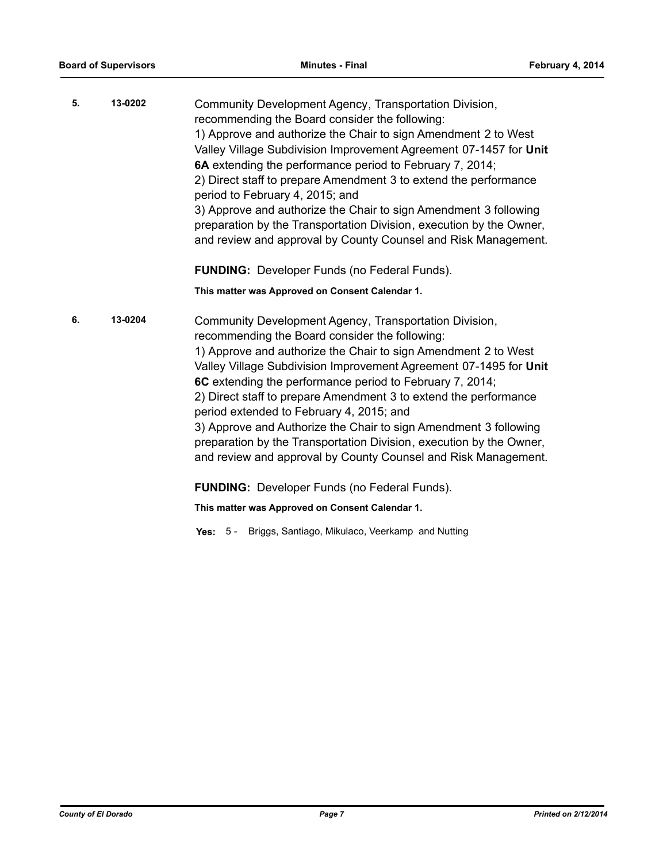| 5. | 13-0202 | Community Development Agency, Transportation Division,<br>recommending the Board consider the following:                                                                                                  |
|----|---------|-----------------------------------------------------------------------------------------------------------------------------------------------------------------------------------------------------------|
|    |         | 1) Approve and authorize the Chair to sign Amendment 2 to West<br>Valley Village Subdivision Improvement Agreement 07-1457 for Unit                                                                       |
|    |         | 6A extending the performance period to February 7, 2014;                                                                                                                                                  |
|    |         | 2) Direct staff to prepare Amendment 3 to extend the performance<br>period to February 4, 2015; and                                                                                                       |
|    |         | 3) Approve and authorize the Chair to sign Amendment 3 following<br>preparation by the Transportation Division, execution by the Owner,<br>and review and approval by County Counsel and Risk Management. |
|    |         | <b>FUNDING:</b> Developer Funds (no Federal Funds).                                                                                                                                                       |

**This matter was Approved on Consent Calendar 1.**

**6. 13-0204** Community Development Agency, Transportation Division, recommending the Board consider the following: 1) Approve and authorize the Chair to sign Amendment 2 to West Valley Village Subdivision Improvement Agreement 07-1495 for **Unit 6C** extending the performance period to February 7, 2014; 2) Direct staff to prepare Amendment 3 to extend the performance period extended to February 4, 2015; and 3) Approve and Authorize the Chair to sign Amendment 3 following preparation by the Transportation Division, execution by the Owner, and review and approval by County Counsel and Risk Management.

**FUNDING:** Developer Funds (no Federal Funds).

**This matter was Approved on Consent Calendar 1.**

**Yes:** 5 - Briggs, Santiago, Mikulaco, Veerkamp and Nutting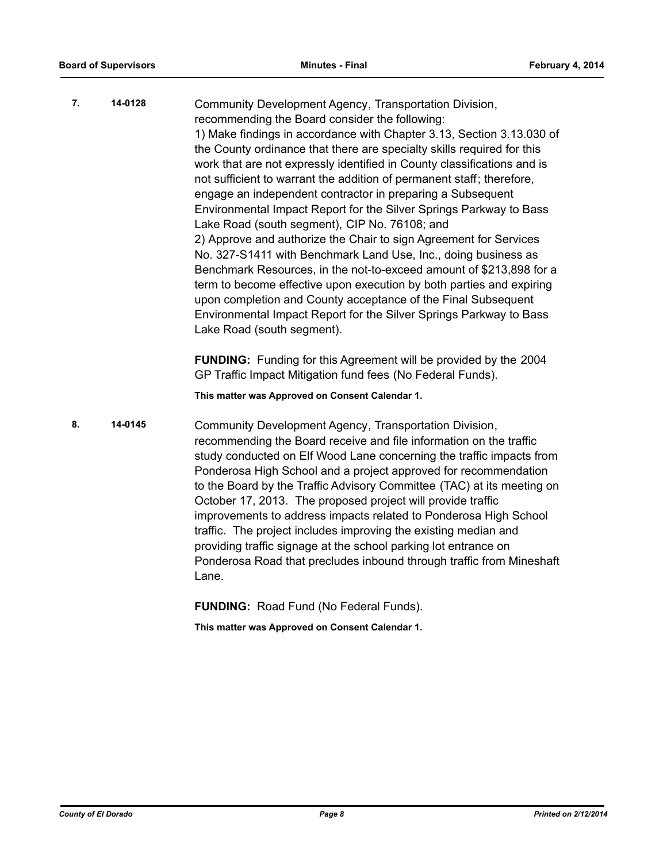| 7. | 14-0128 | Community Development Agency, Transportation Division,<br>recommending the Board consider the following:                                                                                                                                                                                                                                                                                                                                                                                                                                                                                                                                                                                                                                                                       |
|----|---------|--------------------------------------------------------------------------------------------------------------------------------------------------------------------------------------------------------------------------------------------------------------------------------------------------------------------------------------------------------------------------------------------------------------------------------------------------------------------------------------------------------------------------------------------------------------------------------------------------------------------------------------------------------------------------------------------------------------------------------------------------------------------------------|
|    |         | 1) Make findings in accordance with Chapter 3.13, Section 3.13.030 of<br>the County ordinance that there are specialty skills required for this<br>work that are not expressly identified in County classifications and is<br>not sufficient to warrant the addition of permanent staff; therefore,<br>engage an independent contractor in preparing a Subsequent<br>Environmental Impact Report for the Silver Springs Parkway to Bass<br>Lake Road (south segment), CIP No. 76108; and<br>2) Approve and authorize the Chair to sign Agreement for Services<br>No. 327-S1411 with Benchmark Land Use, Inc., doing business as<br>Benchmark Resources, in the not-to-exceed amount of \$213,898 for a<br>term to become effective upon execution by both parties and expiring |
|    |         | upon completion and County acceptance of the Final Subsequent<br>Environmental Impact Report for the Silver Springs Parkway to Bass<br>Lake Road (south segment).                                                                                                                                                                                                                                                                                                                                                                                                                                                                                                                                                                                                              |
|    |         | <b>FUNDING:</b> Funding for this Agreement will be provided by the 2004<br>GP Traffic Impact Mitigation fund fees (No Federal Funds).                                                                                                                                                                                                                                                                                                                                                                                                                                                                                                                                                                                                                                          |

**This matter was Approved on Consent Calendar 1.**

**8. 14-0145** Community Development Agency, Transportation Division, recommending the Board receive and file information on the traffic study conducted on Elf Wood Lane concerning the traffic impacts from Ponderosa High School and a project approved for recommendation to the Board by the Traffic Advisory Committee (TAC) at its meeting on October 17, 2013. The proposed project will provide traffic improvements to address impacts related to Ponderosa High School traffic. The project includes improving the existing median and providing traffic signage at the school parking lot entrance on Ponderosa Road that precludes inbound through traffic from Mineshaft Lane.

**FUNDING:** Road Fund (No Federal Funds).

**This matter was Approved on Consent Calendar 1.**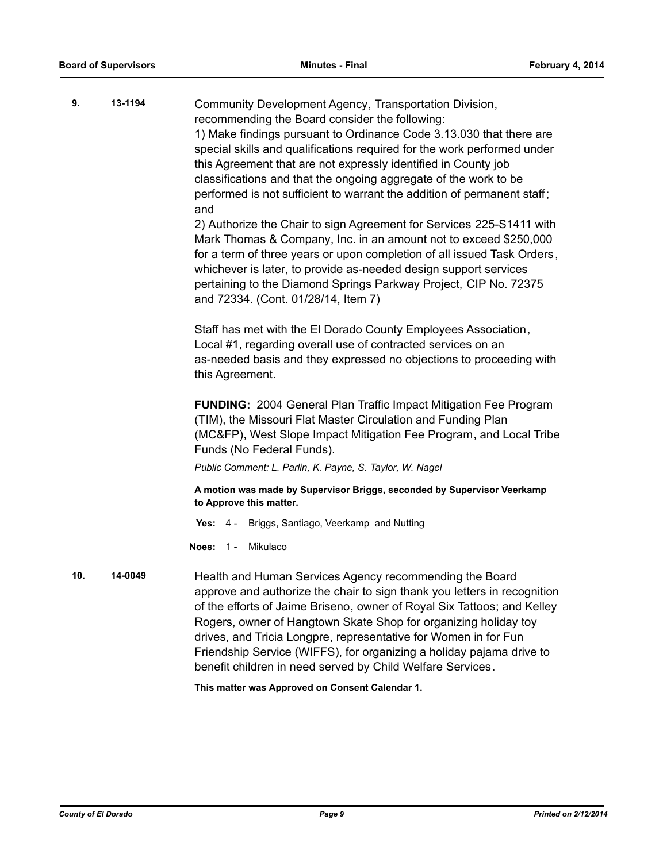| 9.  | 13-1194 | Community Development Agency, Transportation Division,<br>recommending the Board consider the following:<br>1) Make findings pursuant to Ordinance Code 3.13.030 that there are<br>special skills and qualifications required for the work performed under<br>this Agreement that are not expressly identified in County job<br>classifications and that the ongoing aggregate of the work to be<br>performed is not sufficient to warrant the addition of permanent staff;<br>and<br>2) Authorize the Chair to sign Agreement for Services 225-S1411 with<br>Mark Thomas & Company, Inc. in an amount not to exceed \$250,000<br>for a term of three years or upon completion of all issued Task Orders,<br>whichever is later, to provide as-needed design support services<br>pertaining to the Diamond Springs Parkway Project, CIP No. 72375<br>and 72334. (Cont. 01/28/14, Item 7)<br>Staff has met with the El Dorado County Employees Association,<br>Local #1, regarding overall use of contracted services on an<br>as-needed basis and they expressed no objections to proceeding with<br>this Agreement. |
|-----|---------|----------------------------------------------------------------------------------------------------------------------------------------------------------------------------------------------------------------------------------------------------------------------------------------------------------------------------------------------------------------------------------------------------------------------------------------------------------------------------------------------------------------------------------------------------------------------------------------------------------------------------------------------------------------------------------------------------------------------------------------------------------------------------------------------------------------------------------------------------------------------------------------------------------------------------------------------------------------------------------------------------------------------------------------------------------------------------------------------------------------------|
|     |         | <b>FUNDING: 2004 General Plan Traffic Impact Mitigation Fee Program</b><br>(TIM), the Missouri Flat Master Circulation and Funding Plan<br>(MC&FP), West Slope Impact Mitigation Fee Program, and Local Tribe<br>Funds (No Federal Funds).<br>Public Comment: L. Parlin, K. Payne, S. Taylor, W. Nagel                                                                                                                                                                                                                                                                                                                                                                                                                                                                                                                                                                                                                                                                                                                                                                                                               |
|     |         | A motion was made by Supervisor Briggs, seconded by Supervisor Veerkamp<br>to Approve this matter.                                                                                                                                                                                                                                                                                                                                                                                                                                                                                                                                                                                                                                                                                                                                                                                                                                                                                                                                                                                                                   |
|     |         | Yes: 4 - Briggs, Santiago, Veerkamp and Nutting                                                                                                                                                                                                                                                                                                                                                                                                                                                                                                                                                                                                                                                                                                                                                                                                                                                                                                                                                                                                                                                                      |
|     |         | Mikulaco<br><b>Noes: 1-</b>                                                                                                                                                                                                                                                                                                                                                                                                                                                                                                                                                                                                                                                                                                                                                                                                                                                                                                                                                                                                                                                                                          |
| 10. | 14-0049 | Health and Human Services Agency recommending the Board<br>approve and authorize the chair to sign thank you letters in recognition<br>of the efforts of Jaime Briseno, owner of Royal Six Tattoos; and Kelley<br>Rogers, owner of Hangtown Skate Shop for organizing holiday toy<br>drives, and Tricia Longpre, representative for Women in for Fun<br>Friendship Service (WIFFS), for organizing a holiday pajama drive to<br>benefit children in need served by Child Welfare Services.                                                                                                                                                                                                                                                                                                                                                                                                                                                                                                                                                                                                                           |

**This matter was Approved on Consent Calendar 1.**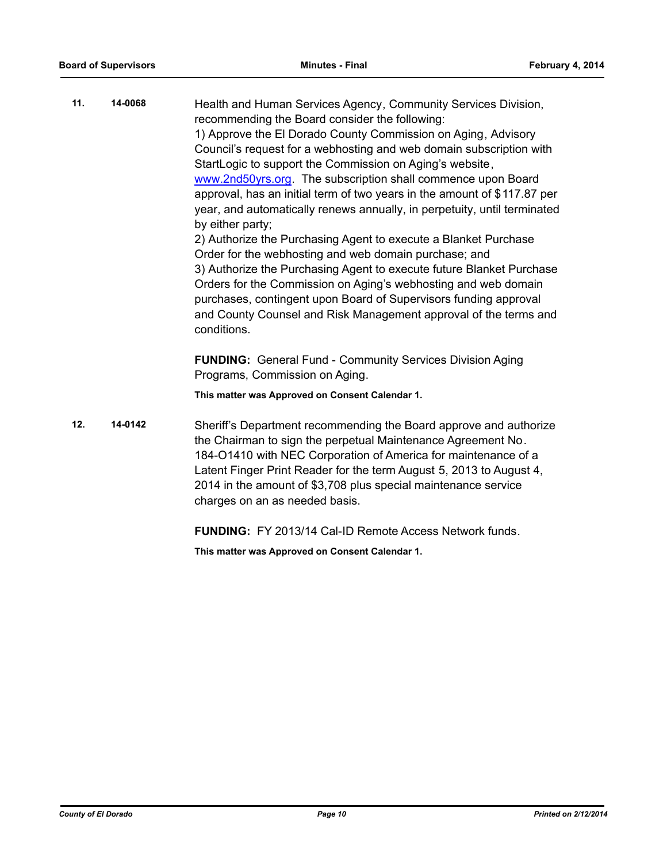| 11. | 14-0068 | Health and Human Services Agency, Community Services Division,<br>recommending the Board consider the following:<br>1) Approve the El Dorado County Commission on Aging, Advisory<br>Council's request for a webhosting and web domain subscription with<br>StartLogic to support the Commission on Aging's website,<br>www.2nd50yrs.org. The subscription shall commence upon Board<br>approval, has an initial term of two years in the amount of \$117.87 per<br>year, and automatically renews annually, in perpetuity, until terminated<br>by either party;<br>2) Authorize the Purchasing Agent to execute a Blanket Purchase<br>Order for the webhosting and web domain purchase; and<br>3) Authorize the Purchasing Agent to execute future Blanket Purchase<br>Orders for the Commission on Aging's webhosting and web domain<br>purchases, contingent upon Board of Supervisors funding approval<br>and County Counsel and Risk Management approval of the terms and<br>conditions.<br><b>FUNDING:</b> General Fund - Community Services Division Aging<br>Programs, Commission on Aging.<br>This matter was Approved on Consent Calendar 1. |
|-----|---------|--------------------------------------------------------------------------------------------------------------------------------------------------------------------------------------------------------------------------------------------------------------------------------------------------------------------------------------------------------------------------------------------------------------------------------------------------------------------------------------------------------------------------------------------------------------------------------------------------------------------------------------------------------------------------------------------------------------------------------------------------------------------------------------------------------------------------------------------------------------------------------------------------------------------------------------------------------------------------------------------------------------------------------------------------------------------------------------------------------------------------------------------------------|
| 12. | 14-0142 | Sheriff's Department recommending the Board approve and authorize<br>the Chairman to sign the perpetual Maintenance Agreement No.<br>184-O1410 with NEC Corporation of America for maintenance of a<br>Latent Finger Print Reader for the term August 5, 2013 to August 4,<br>2014 in the amount of \$3,708 plus special maintenance service                                                                                                                                                                                                                                                                                                                                                                                                                                                                                                                                                                                                                                                                                                                                                                                                           |

**FUNDING:** FY 2013/14 Cal-ID Remote Access Network funds.

**This matter was Approved on Consent Calendar 1.**

charges on an as needed basis.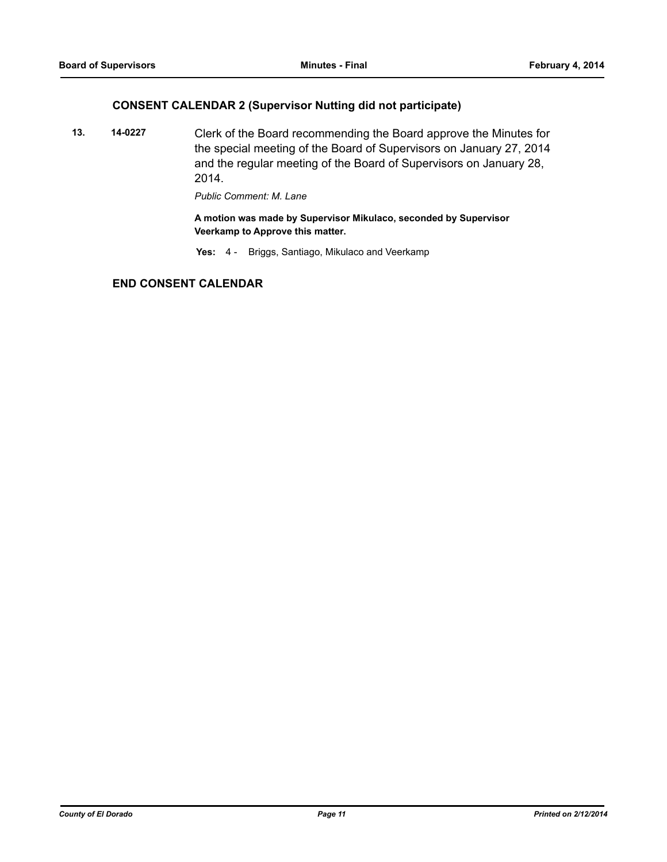## **CONSENT CALENDAR 2 (Supervisor Nutting did not participate)**

**13. 14-0227** Clerk of the Board recommending the Board approve the Minutes for the special meeting of the Board of Supervisors on January 27, 2014 and the regular meeting of the Board of Supervisors on January 28, 2014.

*Public Comment: M. Lane*

**A motion was made by Supervisor Mikulaco, seconded by Supervisor Veerkamp to Approve this matter.**

**Yes:** 4 - Briggs, Santiago, Mikulaco and Veerkamp

## **END CONSENT CALENDAR**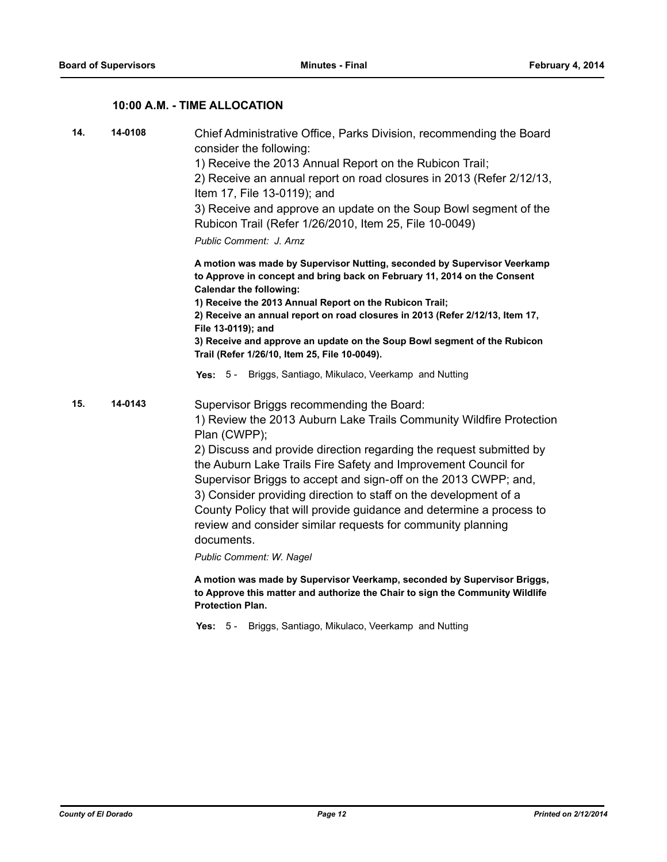## **10:00 A.M. - TIME ALLOCATION**

| 14. | 14-0108 | Chief Administrative Office, Parks Division, recommending the Board<br>consider the following:<br>1) Receive the 2013 Annual Report on the Rubicon Trail;<br>2) Receive an annual report on road closures in 2013 (Refer 2/12/13,<br>Item 17, File 13-0119); and<br>3) Receive and approve an update on the Soup Bowl segment of the<br>Rubicon Trail (Refer 1/26/2010, Item 25, File 10-0049)<br>Public Comment: J. Arnz                                                                                                                                                                        |
|-----|---------|--------------------------------------------------------------------------------------------------------------------------------------------------------------------------------------------------------------------------------------------------------------------------------------------------------------------------------------------------------------------------------------------------------------------------------------------------------------------------------------------------------------------------------------------------------------------------------------------------|
|     |         | A motion was made by Supervisor Nutting, seconded by Supervisor Veerkamp<br>to Approve in concept and bring back on February 11, 2014 on the Consent<br><b>Calendar the following:</b><br>1) Receive the 2013 Annual Report on the Rubicon Trail;<br>2) Receive an annual report on road closures in 2013 (Refer 2/12/13, Item 17,<br>File 13-0119); and<br>3) Receive and approve an update on the Soup Bowl segment of the Rubicon<br>Trail (Refer 1/26/10, Item 25, File 10-0049).                                                                                                            |
|     |         | Briggs, Santiago, Mikulaco, Veerkamp and Nutting<br>Yes: $5 -$                                                                                                                                                                                                                                                                                                                                                                                                                                                                                                                                   |
| 15. | 14-0143 | Supervisor Briggs recommending the Board:<br>1) Review the 2013 Auburn Lake Trails Community Wildfire Protection<br>Plan (CWPP);<br>2) Discuss and provide direction regarding the request submitted by<br>the Auburn Lake Trails Fire Safety and Improvement Council for<br>Supervisor Briggs to accept and sign-off on the 2013 CWPP; and,<br>3) Consider providing direction to staff on the development of a<br>County Policy that will provide guidance and determine a process to<br>review and consider similar requests for community planning<br>documents.<br>Public Comment: W. Nagel |
|     |         | A motion was made by Supervisor Veerkamp, seconded by Supervisor Briggs,<br>to Approve this matter and authorize the Chair to sign the Community Wildlife<br><b>Protection Plan.</b>                                                                                                                                                                                                                                                                                                                                                                                                             |

**Yes:** 5 - Briggs, Santiago, Mikulaco, Veerkamp and Nutting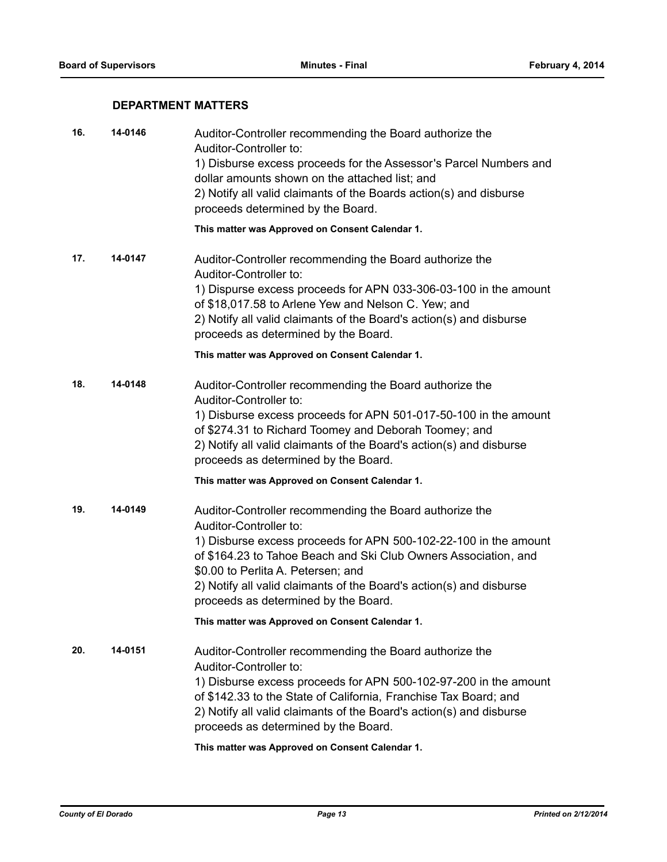## **DEPARTMENT MATTERS**

| 16. | 14-0146 | Auditor-Controller recommending the Board authorize the<br>Auditor-Controller to:<br>1) Disburse excess proceeds for the Assessor's Parcel Numbers and                                                                                                                                                                                   |
|-----|---------|------------------------------------------------------------------------------------------------------------------------------------------------------------------------------------------------------------------------------------------------------------------------------------------------------------------------------------------|
|     |         | dollar amounts shown on the attached list; and<br>2) Notify all valid claimants of the Boards action(s) and disburse<br>proceeds determined by the Board.                                                                                                                                                                                |
|     |         | This matter was Approved on Consent Calendar 1.                                                                                                                                                                                                                                                                                          |
| 17. | 14-0147 | Auditor-Controller recommending the Board authorize the<br>Auditor-Controller to:<br>1) Dispurse excess proceeds for APN 033-306-03-100 in the amount<br>of \$18,017.58 to Arlene Yew and Nelson C. Yew; and<br>2) Notify all valid claimants of the Board's action(s) and disburse<br>proceeds as determined by the Board.              |
|     |         | This matter was Approved on Consent Calendar 1.                                                                                                                                                                                                                                                                                          |
| 18. | 14-0148 | Auditor-Controller recommending the Board authorize the<br>Auditor-Controller to:                                                                                                                                                                                                                                                        |
|     |         | 1) Disburse excess proceeds for APN 501-017-50-100 in the amount<br>of \$274.31 to Richard Toomey and Deborah Toomey; and<br>2) Notify all valid claimants of the Board's action(s) and disburse<br>proceeds as determined by the Board.                                                                                                 |
|     |         | This matter was Approved on Consent Calendar 1.                                                                                                                                                                                                                                                                                          |
| 19. | 14-0149 | Auditor-Controller recommending the Board authorize the<br>Auditor-Controller to:                                                                                                                                                                                                                                                        |
|     |         | 1) Disburse excess proceeds for APN 500-102-22-100 in the amount<br>of \$164.23 to Tahoe Beach and Ski Club Owners Association, and<br>\$0.00 to Perlita A. Petersen; and                                                                                                                                                                |
|     |         | 2) Notify all valid claimants of the Board's action(s) and disburse<br>proceeds as determined by the Board.                                                                                                                                                                                                                              |
|     |         | This matter was Approved on Consent Calendar 1.                                                                                                                                                                                                                                                                                          |
| 20. | 14-0151 | Auditor-Controller recommending the Board authorize the<br>Auditor-Controller to:<br>1) Disburse excess proceeds for APN 500-102-97-200 in the amount<br>of \$142.33 to the State of California, Franchise Tax Board; and<br>2) Notify all valid claimants of the Board's action(s) and disburse<br>proceeds as determined by the Board. |
|     |         | This matter was Approved on Consent Calendar 1.                                                                                                                                                                                                                                                                                          |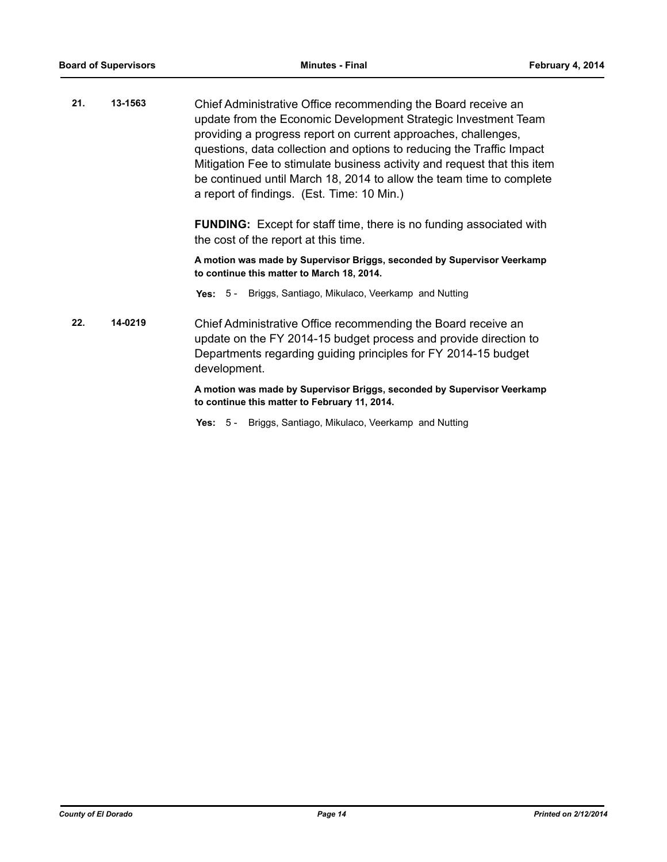**21. 13-1563** Chief Administrative Office recommending the Board receive an update from the Economic Development Strategic Investment Team providing a progress report on current approaches, challenges, questions, data collection and options to reducing the Traffic Impact Mitigation Fee to stimulate business activity and request that this item be continued until March 18, 2014 to allow the team time to complete a report of findings. (Est. Time: 10 Min.)

> **FUNDING:** Except for staff time, there is no funding associated with the cost of the report at this time.

> **A motion was made by Supervisor Briggs, seconded by Supervisor Veerkamp to continue this matter to March 18, 2014.**

**Yes:** 5 - Briggs, Santiago, Mikulaco, Veerkamp and Nutting

**22. 14-0219** Chief Administrative Office recommending the Board receive an update on the FY 2014-15 budget process and provide direction to Departments regarding guiding principles for FY 2014-15 budget development.

> **A motion was made by Supervisor Briggs, seconded by Supervisor Veerkamp to continue this matter to February 11, 2014.**

**Yes:** 5 - Briggs, Santiago, Mikulaco, Veerkamp and Nutting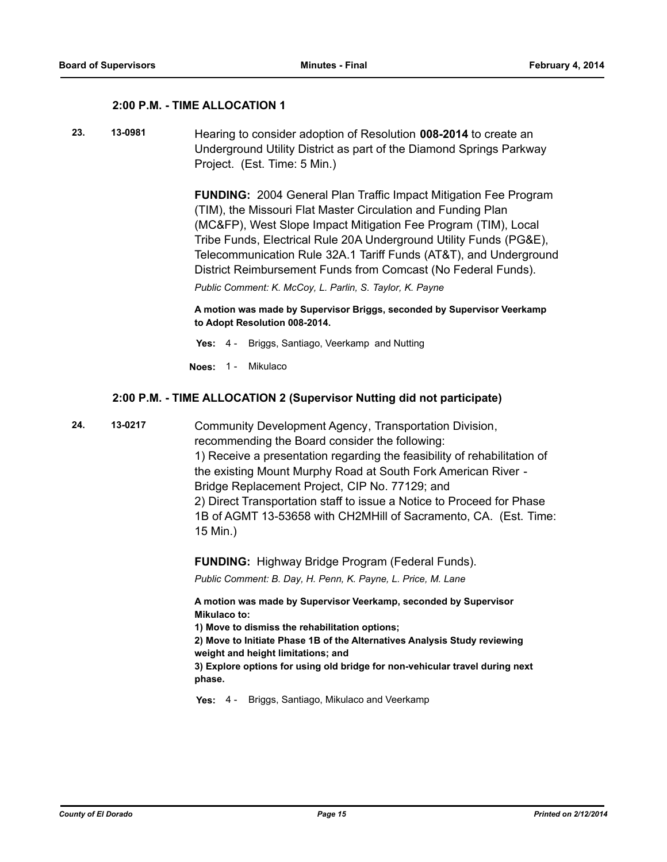#### **2:00 P.M. - TIME ALLOCATION 1**

**23. 13-0981** Hearing to consider adoption of Resolution **008-2014** to create an Underground Utility District as part of the Diamond Springs Parkway Project. (Est. Time: 5 Min.)

> **FUNDING:** 2004 General Plan Traffic Impact Mitigation Fee Program (TIM), the Missouri Flat Master Circulation and Funding Plan (MC&FP), West Slope Impact Mitigation Fee Program (TIM), Local Tribe Funds, Electrical Rule 20A Underground Utility Funds (PG&E), Telecommunication Rule 32A.1 Tariff Funds (AT&T), and Underground District Reimbursement Funds from Comcast (No Federal Funds).

*Public Comment: K. McCoy, L. Parlin, S. Taylor, K. Payne*

**A motion was made by Supervisor Briggs, seconded by Supervisor Veerkamp to Adopt Resolution 008-2014.**

- **Yes:** 4 Briggs, Santiago, Veerkamp and Nutting
- **Noes:** 1 Mikulaco

#### **2:00 P.M. - TIME ALLOCATION 2 (Supervisor Nutting did not participate)**

**24. 13-0217** Community Development Agency, Transportation Division, recommending the Board consider the following: 1) Receive a presentation regarding the feasibility of rehabilitation of the existing Mount Murphy Road at South Fork American River - Bridge Replacement Project, CIP No. 77129; and 2) Direct Transportation staff to issue a Notice to Proceed for Phase 1B of AGMT 13-53658 with CH2MHill of Sacramento, CA. (Est. Time: 15 Min.)

**FUNDING:** Highway Bridge Program (Federal Funds).

*Public Comment: B. Day, H. Penn, K. Payne, L. Price, M. Lane*

**A motion was made by Supervisor Veerkamp, seconded by Supervisor Mikulaco to:**

**1) Move to dismiss the rehabilitation options;**

**2) Move to Initiate Phase 1B of the Alternatives Analysis Study reviewing weight and height limitations; and** 

**3) Explore options for using old bridge for non-vehicular travel during next phase.**

**Yes:** 4 - Briggs, Santiago, Mikulaco and Veerkamp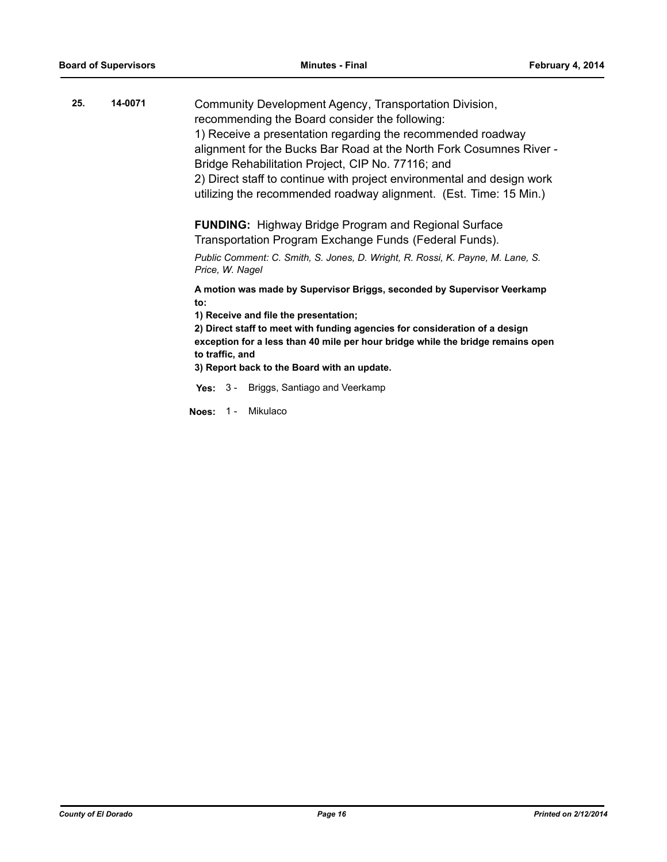| 25. | 14-0071 | Community Development Agency, Transportation Division,<br>recommending the Board consider the following:<br>1) Receive a presentation regarding the recommended roadway<br>alignment for the Bucks Bar Road at the North Fork Cosumnes River -<br>Bridge Rehabilitation Project, CIP No. 77116; and<br>2) Direct staff to continue with project environmental and design work<br>utilizing the recommended roadway alignment. (Est. Time: 15 Min.) |
|-----|---------|----------------------------------------------------------------------------------------------------------------------------------------------------------------------------------------------------------------------------------------------------------------------------------------------------------------------------------------------------------------------------------------------------------------------------------------------------|
|     |         | <b>FUNDING:</b> Highway Bridge Program and Regional Surface<br>Transportation Program Exchange Funds (Federal Funds).<br>Public Comment: C. Smith, S. Jones, D. Wright, R. Rossi, K. Payne, M. Lane, S.<br>Price, W. Nagel                                                                                                                                                                                                                         |
|     |         | A motion was made by Supervisor Briggs, seconded by Supervisor Veerkamp<br>to:<br>1) Receive and file the presentation;<br>2) Direct staff to meet with funding agencies for consideration of a design<br>exception for a less than 40 mile per hour bridge while the bridge remains open<br>to traffic, and<br>3) Report back to the Board with an update.                                                                                        |
|     |         | Yes: 3 - Briggs, Santiago and Veerkamp<br>Mikulaco<br>Noes: $1 -$                                                                                                                                                                                                                                                                                                                                                                                  |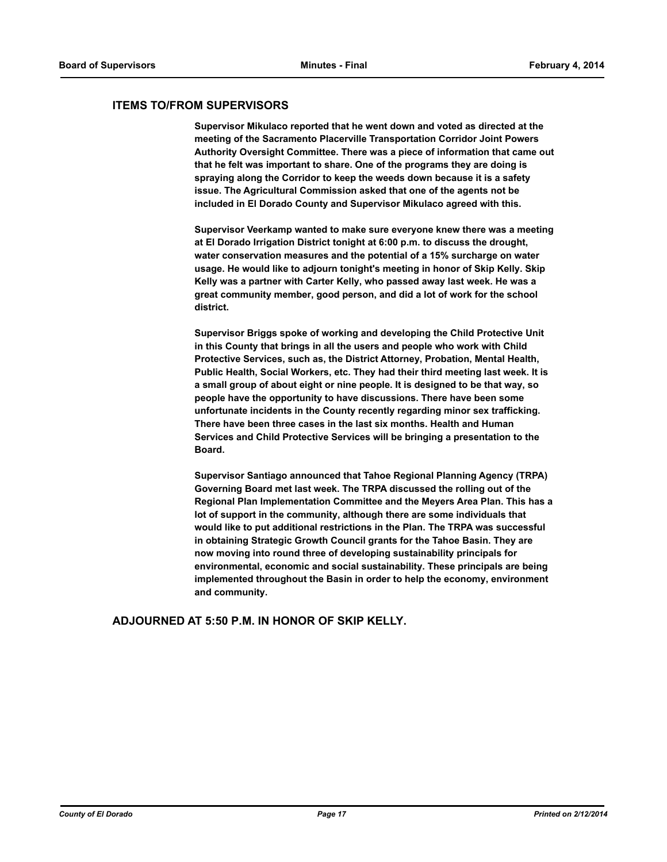#### **ITEMS TO/FROM SUPERVISORS**

**Supervisor Mikulaco reported that he went down and voted as directed at the meeting of the Sacramento Placerville Transportation Corridor Joint Powers Authority Oversight Committee. There was a piece of information that came out that he felt was important to share. One of the programs they are doing is spraying along the Corridor to keep the weeds down because it is a safety issue. The Agricultural Commission asked that one of the agents not be included in El Dorado County and Supervisor Mikulaco agreed with this.** 

**Supervisor Veerkamp wanted to make sure everyone knew there was a meeting at El Dorado Irrigation District tonight at 6:00 p.m. to discuss the drought, water conservation measures and the potential of a 15% surcharge on water usage. He would like to adjourn tonight's meeting in honor of Skip Kelly. Skip Kelly was a partner with Carter Kelly, who passed away last week. He was a great community member, good person, and did a lot of work for the school district.** 

**Supervisor Briggs spoke of working and developing the Child Protective Unit in this County that brings in all the users and people who work with Child Protective Services, such as, the District Attorney, Probation, Mental Health, Public Health, Social Workers, etc. They had their third meeting last week. It is a small group of about eight or nine people. It is designed to be that way, so people have the opportunity to have discussions. There have been some unfortunate incidents in the County recently regarding minor sex trafficking. There have been three cases in the last six months. Health and Human Services and Child Protective Services will be bringing a presentation to the Board.** 

**Supervisor Santiago announced that Tahoe Regional Planning Agency (TRPA) Governing Board met last week. The TRPA discussed the rolling out of the Regional Plan Implementation Committee and the Meyers Area Plan. This has a lot of support in the community, although there are some individuals that would like to put additional restrictions in the Plan. The TRPA was successful in obtaining Strategic Growth Council grants for the Tahoe Basin. They are now moving into round three of developing sustainability principals for environmental, economic and social sustainability. These principals are being implemented throughout the Basin in order to help the economy, environment and community.**

**ADJOURNED AT 5:50 P.M. IN HONOR OF SKIP KELLY.**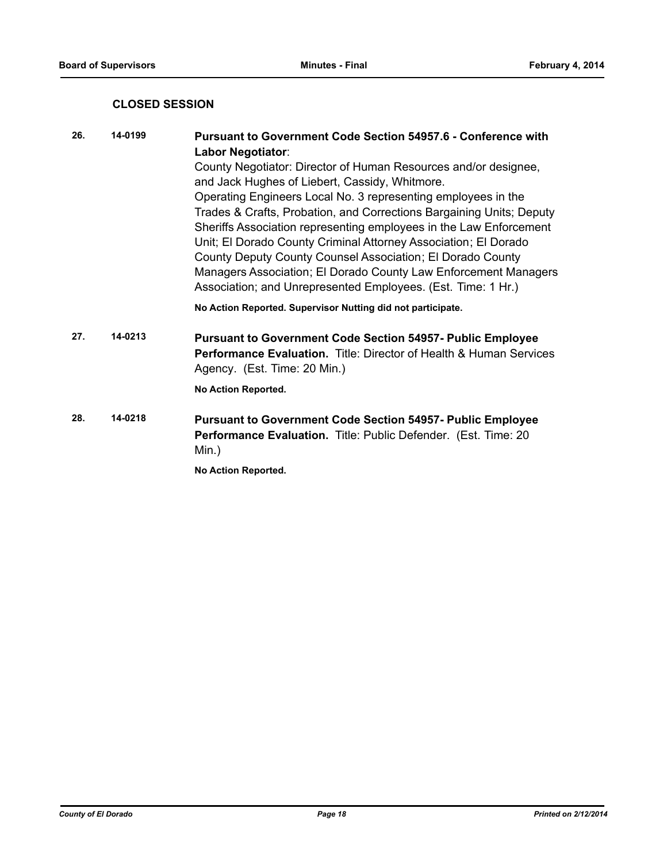## **CLOSED SESSION**

| 26. | 14-0199 | <b>Pursuant to Government Code Section 54957.6 - Conference with</b><br><b>Labor Negotiator:</b><br>County Negotiator: Director of Human Resources and/or designee,                                                                                                                                                                                                                                                                                                             |
|-----|---------|---------------------------------------------------------------------------------------------------------------------------------------------------------------------------------------------------------------------------------------------------------------------------------------------------------------------------------------------------------------------------------------------------------------------------------------------------------------------------------|
|     |         | and Jack Hughes of Liebert, Cassidy, Whitmore.                                                                                                                                                                                                                                                                                                                                                                                                                                  |
|     |         | Operating Engineers Local No. 3 representing employees in the<br>Trades & Crafts, Probation, and Corrections Bargaining Units; Deputy<br>Sheriffs Association representing employees in the Law Enforcement<br>Unit; El Dorado County Criminal Attorney Association; El Dorado<br>County Deputy County Counsel Association; El Dorado County<br>Managers Association; El Dorado County Law Enforcement Managers<br>Association; and Unrepresented Employees. (Est. Time: 1 Hr.) |
|     |         | No Action Reported. Supervisor Nutting did not participate.                                                                                                                                                                                                                                                                                                                                                                                                                     |
| 27. | 14-0213 | <b>Pursuant to Government Code Section 54957- Public Employee</b><br><b>Performance Evaluation.</b> Title: Director of Health & Human Services<br>Agency. (Est. Time: 20 Min.)                                                                                                                                                                                                                                                                                                  |
|     |         | No Action Reported.                                                                                                                                                                                                                                                                                                                                                                                                                                                             |
| 28. | 14-0218 | <b>Pursuant to Government Code Section 54957- Public Employee</b><br>Performance Evaluation. Title: Public Defender. (Est. Time: 20<br>$Min.$ )                                                                                                                                                                                                                                                                                                                                 |

**No Action Reported.**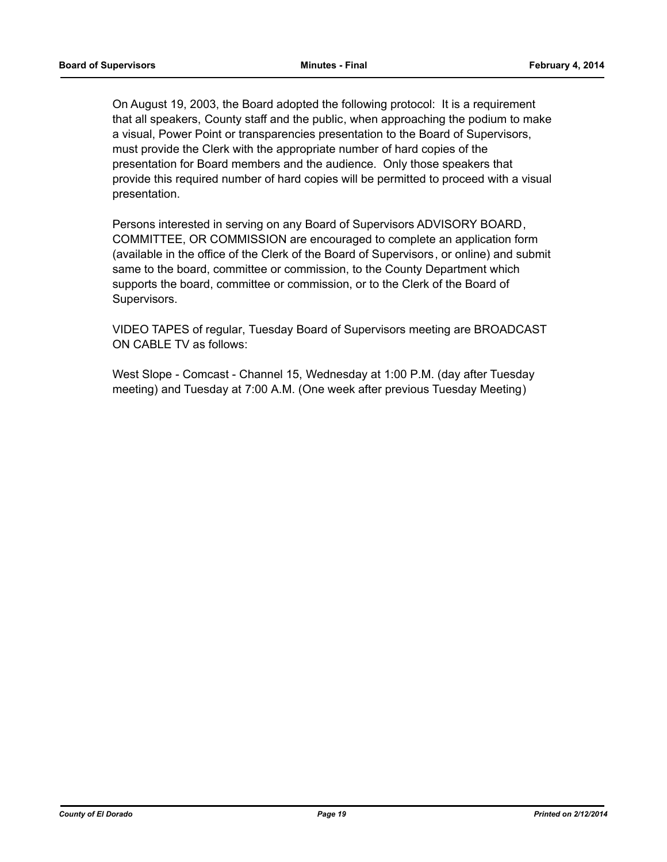On August 19, 2003, the Board adopted the following protocol: It is a requirement that all speakers, County staff and the public, when approaching the podium to make a visual, Power Point or transparencies presentation to the Board of Supervisors, must provide the Clerk with the appropriate number of hard copies of the presentation for Board members and the audience. Only those speakers that provide this required number of hard copies will be permitted to proceed with a visual presentation.

Persons interested in serving on any Board of Supervisors ADVISORY BOARD, COMMITTEE, OR COMMISSION are encouraged to complete an application form (available in the office of the Clerk of the Board of Supervisors, or online) and submit same to the board, committee or commission, to the County Department which supports the board, committee or commission, or to the Clerk of the Board of Supervisors.

VIDEO TAPES of regular, Tuesday Board of Supervisors meeting are BROADCAST ON CABLE TV as follows:

West Slope - Comcast - Channel 15, Wednesday at 1:00 P.M. (day after Tuesday meeting) and Tuesday at 7:00 A.M. (One week after previous Tuesday Meeting)